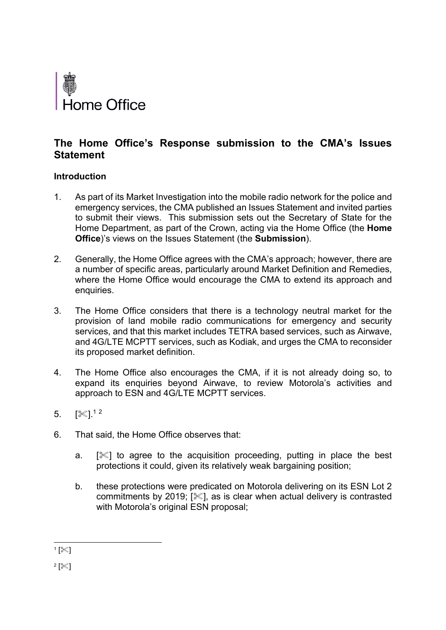

# **The Home Office's Response submission to the CMA's Issues Statement**

# **Introduction**

- 1. As part of its Market Investigation into the mobile radio network for the police and emergency services, the CMA published an Issues Statement and invited parties to submit their views. This submission sets out the Secretary of State for the Home Department, as part of the Crown, acting via the Home Office (the **Home Office**)'s views on the Issues Statement (the **Submission**).
- 2. Generally, the Home Office agrees with the CMA's approach; however, there are a number of specific areas, particularly around Market Definition and Remedies, where the Home Office would encourage the CMA to extend its approach and enquiries.
- 3. The Home Office considers that there is a technology neutral market for the provision of land mobile radio communications for emergency and security services, and that this market includes TETRA based services, such as Airwave, and 4G/LTE MCPTT services, such as Kodiak, and urges the CMA to reconsider its proposed market definition.
- 4. The Home Office also encourages the CMA, if it is not already doing so, to expand its enquiries beyond Airwave, to review Motorola's activities and approach to ESN and 4G/LTE MCPTT services.
- $5.$   $[$   $\%$ ]. $^{12}$
- 6. That said, the Home Office observes that:
	- a.  $\mathbb{R}$  to agree to the acquisition proceeding, putting in place the best protections it could, given its relatively weak bargaining position;
	- b. these protections were predicated on Motorola delivering on its ESN Lot 2 commitments by 2019;  $[\mathcal{K}]$ , as is clear when actual delivery is contrasted with Motorola's original ESN proposal;

 $\mathbf{1}$  [ $\ll$ ]

 $^{2}$  [ $\ll$ ]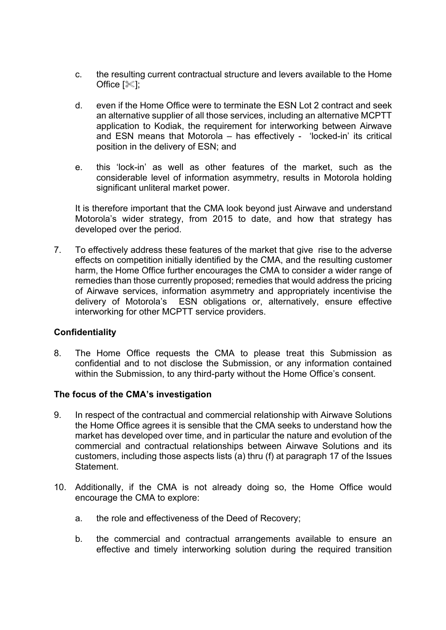- c. the resulting current contractual structure and levers available to the Home Office  $[\mathcal{K}]$ ;
- d. even if the Home Office were to terminate the ESN Lot 2 contract and seek an alternative supplier of all those services, including an alternative MCPTT application to Kodiak, the requirement for interworking between Airwave and ESN means that Motorola – has effectively - 'locked-in' its critical position in the delivery of ESN; and
- e. this 'lock-in' as well as other features of the market, such as the considerable level of information asymmetry, results in Motorola holding significant unliteral market power.

It is therefore important that the CMA look beyond just Airwave and understand Motorola's wider strategy, from 2015 to date, and how that strategy has developed over the period.

7. To effectively address these features of the market that give rise to the adverse effects on competition initially identified by the CMA, and the resulting customer harm, the Home Office further encourages the CMA to consider a wider range of remedies than those currently proposed; remedies that would address the pricing of Airwave services, information asymmetry and appropriately incentivise the delivery of Motorola's ESN obligations or, alternatively, ensure effective interworking for other MCPTT service providers.

## **Confidentiality**

8. The Home Office requests the CMA to please treat this Submission as confidential and to not disclose the Submission, or any information contained within the Submission, to any third-party without the Home Office's consent.

## **The focus of the CMA's investigation**

- 9. In respect of the contractual and commercial relationship with Airwave Solutions the Home Office agrees it is sensible that the CMA seeks to understand how the market has developed over time, and in particular the nature and evolution of the commercial and contractual relationships between Airwave Solutions and its customers, including those aspects lists (a) thru (f) at paragraph 17 of the Issues **Statement**
- 10. Additionally, if the CMA is not already doing so, the Home Office would encourage the CMA to explore:
	- a. the role and effectiveness of the Deed of Recovery;
	- b. the commercial and contractual arrangements available to ensure an effective and timely interworking solution during the required transition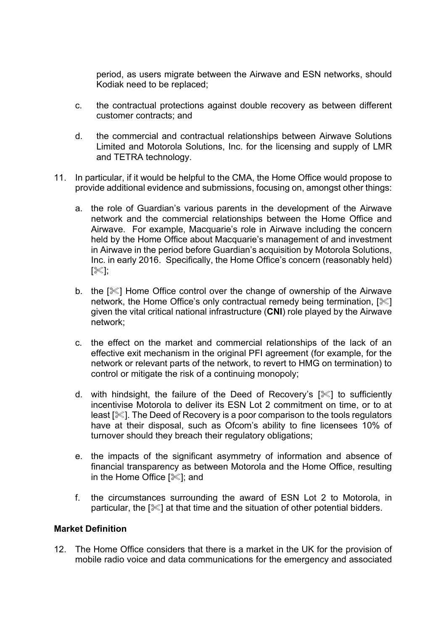period, as users migrate between the Airwave and ESN networks, should Kodiak need to be replaced;

- c. the contractual protections against double recovery as between different customer contracts; and
- d. the commercial and contractual relationships between Airwave Solutions Limited and Motorola Solutions, Inc. for the licensing and supply of LMR and TETRA technology.
- 11. In particular, if it would be helpful to the CMA, the Home Office would propose to provide additional evidence and submissions, focusing on, amongst other things:
	- a. the role of Guardian's various parents in the development of the Airwave network and the commercial relationships between the Home Office and Airwave. For example, Macquarie's role in Airwave including the concern held by the Home Office about Macquarie's management of and investment in Airwave in the period before Guardian's acquisition by Motorola Solutions, Inc. in early 2016. Specifically, the Home Office's concern (reasonably held)  $[\mathcal{K}]$ ;
	- b. the  $\mathbb{R}$  Home Office control over the change of ownership of the Airwave network, the Home Office's only contractual remedy being termination,  $[\mathcal{K}]$ given the vital critical national infrastructure (**CNI**) role played by the Airwave network;
	- c. the effect on the market and commercial relationships of the lack of an effective exit mechanism in the original PFI agreement (for example, for the network or relevant parts of the network, to revert to HMG on termination) to control or mitigate the risk of a continuing monopoly;
	- d. with hindsight, the failure of the Deed of Recovery's  $[\mathscr{K}]$  to sufficiently incentivise Motorola to deliver its ESN Lot 2 commitment on time, or to at least  $\mathbb{R}$ . The Deed of Recovery is a poor comparison to the tools regulators have at their disposal, such as Ofcom's ability to fine licensees 10% of turnover should they breach their regulatory obligations;
	- e. the impacts of the significant asymmetry of information and absence of financial transparency as between Motorola and the Home Office, resulting in the Home Office  $[$  $|$   $|$   $|$   $|$   $|$  and
	- f. the circumstances surrounding the award of ESN Lot 2 to Motorola, in particular, the  $[\mathcal{K}]$  at that time and the situation of other potential bidders.

## **Market Definition**

12. The Home Office considers that there is a market in the UK for the provision of mobile radio voice and data communications for the emergency and associated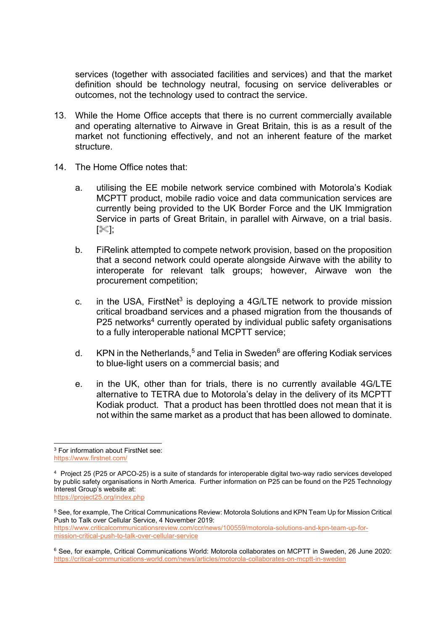services (together with associated facilities and services) and that the market definition should be technology neutral, focusing on service deliverables or outcomes, not the technology used to contract the service.

- 13. While the Home Office accepts that there is no current commercially available and operating alternative to Airwave in Great Britain, this is as a result of the market not functioning effectively, and not an inherent feature of the market structure.
- 14. The Home Office notes that:
	- a. utilising the EE mobile network service combined with Motorola's Kodiak MCPTT product, mobile radio voice and data communication services are currently being provided to the UK Border Force and the UK Immigration Service in parts of Great Britain, in parallel with Airwave, on a trial basis.  $[\%]$
	- b. FiRelink attempted to compete network provision, based on the proposition that a second network could operate alongside Airwave with the ability to interoperate for relevant talk groups; however, Airwave won the procurement competition;
	- c. in the USA, FirstNet<sup>3</sup> is deploying a 4G/LTE network to provide mission critical broadband services and a phased migration from the thousands of  $P25$  networks<sup>4</sup> currently operated by individual public safety organisations to a fully interoperable national MCPTT service;
	- d. KPN in the Netherlands,<sup>5</sup> and Telia in Sweden<sup>6</sup> are offering Kodiak services to blue-light users on a commercial basis; and
	- e. in the UK, other than for trials, there is no currently available 4G/LTE alternative to TETRA due to Motorola's delay in the delivery of its MCPTT Kodiak product. That a product has been throttled does not mean that it is not within the same market as a product that has been allowed to dominate.

<sup>3</sup> For information about FirstNet see: <https://www.firstnet.com/>

<sup>4</sup> Project 25 (P25 or APCO-25) is a suite of standards for interoperable digital two-way radio services developed by public safety organisations in North America. Further information on P25 can be found on the P25 Technology Interest Group's website at: <https://project25.org/index.php>

<sup>5</sup> See, for example, The Critical Communications Review: Motorola Solutions and KPN Team Up for Mission Critical Push to Talk over Cellular Service, 4 November 2019: [https://www.criticalcommunicationsreview.com/ccr/news/100559/motorola-solutions-and-kpn-team-up-for](https://www.criticalcommunicationsreview.com/ccr/news/100559/motorola-solutions-and-kpn-team-up-for-mission-critical-push-to-talk-over-cellular-service)[mission-critical-push-to-talk-over-cellular-service](https://www.criticalcommunicationsreview.com/ccr/news/100559/motorola-solutions-and-kpn-team-up-for-mission-critical-push-to-talk-over-cellular-service)

<sup>6</sup> See, for example, Critical Communications World: Motorola collaborates on MCPTT in Sweden, 26 June 2020: <https://critical-communications-world.com/news/articles/motorola-collaborates-on-mcptt-in-sweden>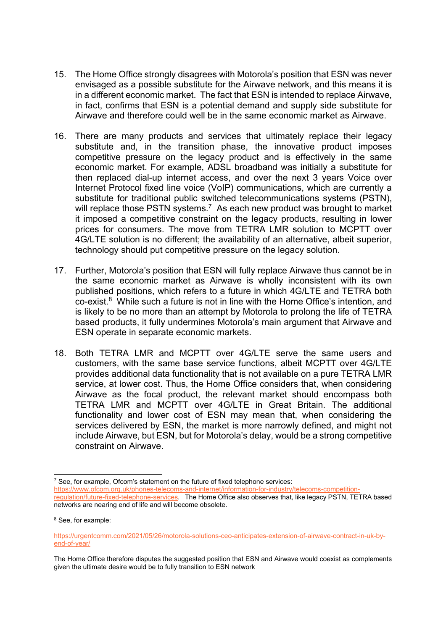- 15. The Home Office strongly disagrees with Motorola's position that ESN was never envisaged as a possible substitute for the Airwave network, and this means it is in a different economic market. The fact that ESN is intended to replace Airwave, in fact, confirms that ESN is a potential demand and supply side substitute for Airwave and therefore could well be in the same economic market as Airwave.
- 16. There are many products and services that ultimately replace their legacy substitute and, in the transition phase, the innovative product imposes competitive pressure on the legacy product and is effectively in the same economic market. For example, ADSL broadband was initially a substitute for then replaced dial-up internet access, and over the next 3 years Voice over Internet Protocol fixed line voice (VoIP) communications, which are currently a substitute for traditional public switched telecommunications systems (PSTN), will replace those PSTN systems.<sup>7</sup> As each new product was brought to market it imposed a competitive constraint on the legacy products, resulting in lower prices for consumers. The move from TETRA LMR solution to MCPTT over 4G/LTE solution is no different; the availability of an alternative, albeit superior, technology should put competitive pressure on the legacy solution.
- 17. Further, Motorola's position that ESN will fully replace Airwave thus cannot be in the same economic market as Airwave is wholly inconsistent with its own published positions, which refers to a future in which 4G/LTE and TETRA both co-exist. 8 While such a future is not in line with the Home Office's intention, and is likely to be no more than an attempt by Motorola to prolong the life of TETRA based products, it fully undermines Motorola's main argument that Airwave and ESN operate in separate economic markets.
- 18. Both TETRA LMR and MCPTT over 4G/LTE serve the same users and customers, with the same base service functions, albeit MCPTT over 4G/LTE provides additional data functionality that is not available on a pure TETRA LMR service, at lower cost. Thus, the Home Office considers that, when considering Airwave as the focal product, the relevant market should encompass both TETRA LMR and MCPTT over 4G/LTE in Great Britain. The additional functionality and lower cost of ESN may mean that, when considering the services delivered by ESN, the market is more narrowly defined, and might not include Airwave, but ESN, but for Motorola's delay, would be a strong competitive constraint on Airwave.

 $7$  See, for example, Ofcom's statement on the future of fixed telephone services: [https://www.ofcom.org.uk/phones-telecoms-and-internet/information-for-industry/telecoms-competition](https://www.ofcom.org.uk/phones-telecoms-and-internet/information-for-industry/telecoms-competition-regulation/future-fixed-telephone-services)[regulation/future-fixed-telephone-services.](https://www.ofcom.org.uk/phones-telecoms-and-internet/information-for-industry/telecoms-competition-regulation/future-fixed-telephone-services) The Home Office also observes that, like legacy PSTN, TETRA based networks are nearing end of life and will become obsolete.

<sup>8</sup> See, for example:

[https://urgentcomm.com/2021/05/26/motorola-solutions-ceo-anticipates-extension-of-airwave-contract-in-uk-by](https://urgentcomm.com/2021/05/26/motorola-solutions-ceo-anticipates-extension-of-airwave-contract-in-uk-by-end-of-year/)[end-of-year/](https://urgentcomm.com/2021/05/26/motorola-solutions-ceo-anticipates-extension-of-airwave-contract-in-uk-by-end-of-year/) 

The Home Office therefore disputes the suggested position that ESN and Airwave would coexist as complements given the ultimate desire would be to fully transition to ESN network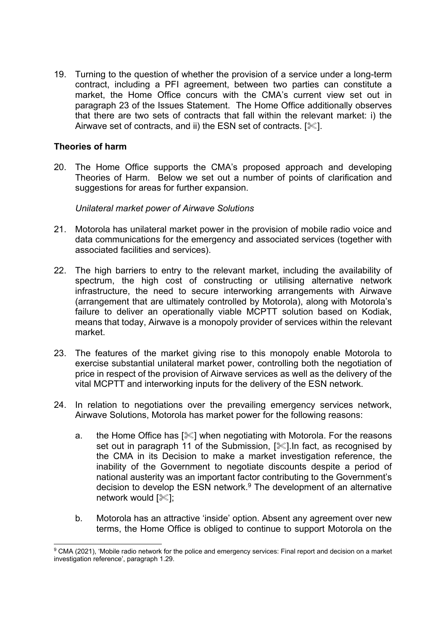19. Turning to the question of whether the provision of a service under a long-term contract, including a PFI agreement, between two parties can constitute a market, the Home Office concurs with the CMA's current view set out in paragraph 23 of the Issues Statement. The Home Office additionally observes that there are two sets of contracts that fall within the relevant market: i) the Airwave set of contracts, and ii) the ESN set of contracts.  $[\mathcal{K}]$ .

## **Theories of harm**

20. The Home Office supports the CMA's proposed approach and developing Theories of Harm. Below we set out a number of points of clarification and suggestions for areas for further expansion.

#### *Unilateral market power of Airwave Solutions*

- 21. Motorola has unilateral market power in the provision of mobile radio voice and data communications for the emergency and associated services (together with associated facilities and services).
- 22. The high barriers to entry to the relevant market, including the availability of spectrum, the high cost of constructing or utilising alternative network infrastructure, the need to secure interworking arrangements with Airwave (arrangement that are ultimately controlled by Motorola), along with Motorola's failure to deliver an operationally viable MCPTT solution based on Kodiak, means that today, Airwave is a monopoly provider of services within the relevant market.
- 23. The features of the market giving rise to this monopoly enable Motorola to exercise substantial unilateral market power, controlling both the negotiation of price in respect of the provision of Airwave services as well as the delivery of the vital MCPTT and interworking inputs for the delivery of the ESN network.
- 24. In relation to negotiations over the prevailing emergency services network, Airwave Solutions, Motorola has market power for the following reasons:
	- a. the Home Office has  $[\mathcal{K}]$  when negotiating with Motorola. For the reasons set out in paragraph 11 of the Submission, [ $\ll$ ]. In fact, as recognised by the CMA in its Decision to make a market investigation reference, the inability of the Government to negotiate discounts despite a period of national austerity was an important factor contributing to the Government's decision to develop the ESN network.<sup>9</sup> The development of an alternative network would  $[\mathcal{K}]$ ;
	- b. Motorola has an attractive 'inside' option. Absent any agreement over new terms, the Home Office is obliged to continue to support Motorola on the

<sup>9</sup> CMA (2021), 'Mobile radio network for the police and emergency services: Final report and decision on a market investigation reference', paragraph 1.29.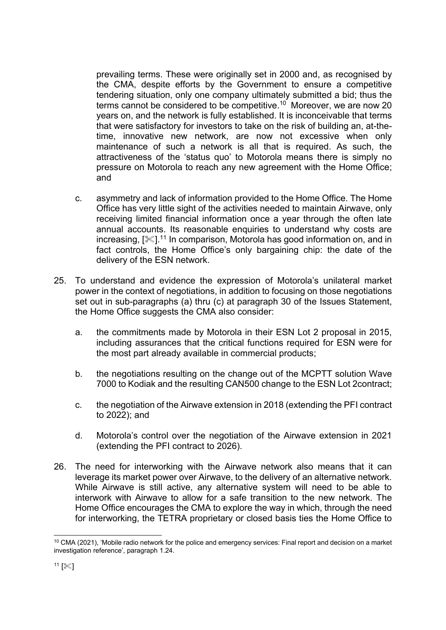prevailing terms. These were originally set in 2000 and, as recognised by the CMA, despite efforts by the Government to ensure a competitive tendering situation, only one company ultimately submitted a bid; thus the terms cannot be considered to be competitive.<sup>10</sup> Moreover, we are now 20 years on, and the network is fully established. It is inconceivable that terms that were satisfactory for investors to take on the risk of building an, at-thetime, innovative new network, are now not excessive when only maintenance of such a network is all that is required. As such, the attractiveness of the 'status quo' to Motorola means there is simply no pressure on Motorola to reach any new agreement with the Home Office; and

- c. asymmetry and lack of information provided to the Home Office. The Home Office has very little sight of the activities needed to maintain Airwave, only receiving limited financial information once a year through the often late annual accounts. Its reasonable enquiries to understand why costs are increasing, [ᢟ].<sup>11</sup> In comparison, Motorola has good information on, and in fact controls, the Home Office's only bargaining chip: the date of the delivery of the ESN network.
- 25. To understand and evidence the expression of Motorola's unilateral market power in the context of negotiations, in addition to focusing on those negotiations set out in sub-paragraphs (a) thru (c) at paragraph 30 of the Issues Statement, the Home Office suggests the CMA also consider:
	- a. the commitments made by Motorola in their ESN Lot 2 proposal in 2015, including assurances that the critical functions required for ESN were for the most part already available in commercial products;
	- b. the negotiations resulting on the change out of the MCPTT solution Wave 7000 to Kodiak and the resulting CAN500 change to the ESN Lot 2contract;
	- c. the negotiation of the Airwave extension in 2018 (extending the PFI contract to 2022); and
	- d. Motorola's control over the negotiation of the Airwave extension in 2021 (extending the PFI contract to 2026).
- 26. The need for interworking with the Airwave network also means that it can leverage its market power over Airwave, to the delivery of an alternative network. While Airwave is still active, any alternative system will need to be able to interwork with Airwave to allow for a safe transition to the new network. The Home Office encourages the CMA to explore the way in which, through the need for interworking, the TETRA proprietary or closed basis ties the Home Office to

<sup>&</sup>lt;sup>10</sup> CMA (2021), 'Mobile radio network for the police and emergency services: Final report and decision on a market investigation reference', paragraph 1.24.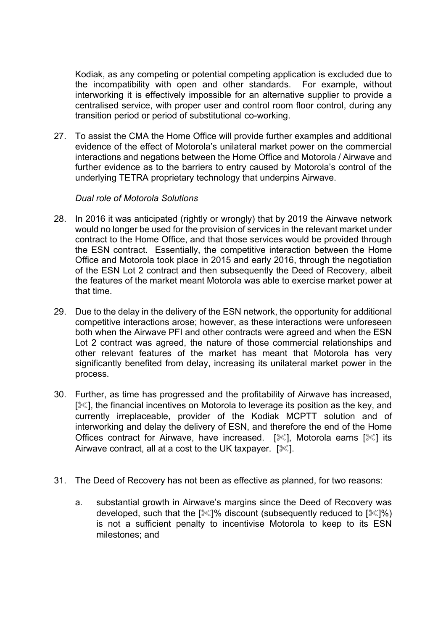Kodiak, as any competing or potential competing application is excluded due to the incompatibility with open and other standards. For example, without interworking it is effectively impossible for an alternative supplier to provide a centralised service, with proper user and control room floor control, during any transition period or period of substitutional co-working.

27. To assist the CMA the Home Office will provide further examples and additional evidence of the effect of Motorola's unilateral market power on the commercial interactions and negations between the Home Office and Motorola / Airwave and further evidence as to the barriers to entry caused by Motorola's control of the underlying TETRA proprietary technology that underpins Airwave.

## *Dual role of Motorola Solutions*

- 28. In 2016 it was anticipated (rightly or wrongly) that by 2019 the Airwave network would no longer be used for the provision of services in the relevant market under contract to the Home Office, and that those services would be provided through the ESN contract. Essentially, the competitive interaction between the Home Office and Motorola took place in 2015 and early 2016, through the negotiation of the ESN Lot 2 contract and then subsequently the Deed of Recovery, albeit the features of the market meant Motorola was able to exercise market power at that time.
- 29. Due to the delay in the delivery of the ESN network, the opportunity for additional competitive interactions arose; however, as these interactions were unforeseen both when the Airwave PFI and other contracts were agreed and when the ESN Lot 2 contract was agreed, the nature of those commercial relationships and other relevant features of the market has meant that Motorola has very significantly benefited from delay, increasing its unilateral market power in the process.
- 30. Further, as time has progressed and the profitability of Airwave has increased,  $[\mathcal{K}]$ , the financial incentives on Motorola to leverage its position as the key, and currently irreplaceable, provider of the Kodiak MCPTT solution and of interworking and delay the delivery of ESN, and therefore the end of the Home Offices contract for Airwave, have increased.  $[\mathcal{K}]$ , Motorola earns  $[\mathcal{K}]$  its Airwave contract, all at a cost to the UK taxpayer.  $[\mathcal{K}]$ .
- 31. The Deed of Recovery has not been as effective as planned, for two reasons:
	- a. substantial growth in Airwave's margins since the Deed of Recovery was developed, such that the  $[\mathcal{K}]\%$  discount (subsequently reduced to  $[\mathcal{K}]\%$ ) is not a sufficient penalty to incentivise Motorola to keep to its ESN milestones; and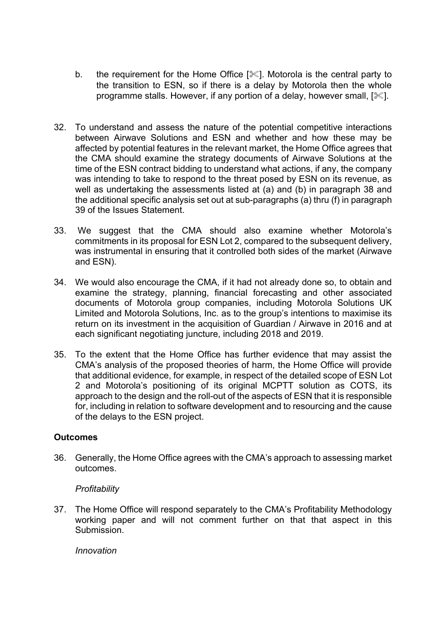- b. the requirement for the Home Office  $[\mathcal{K}]$ . Motorola is the central party to the transition to ESN, so if there is a delay by Motorola then the whole programme stalls. However, if any portion of a delay, however small,  $[\&]$ .
- 32. To understand and assess the nature of the potential competitive interactions between Airwave Solutions and ESN and whether and how these may be affected by potential features in the relevant market, the Home Office agrees that the CMA should examine the strategy documents of Airwave Solutions at the time of the ESN contract bidding to understand what actions, if any, the company was intending to take to respond to the threat posed by ESN on its revenue, as well as undertaking the assessments listed at (a) and (b) in paragraph 38 and the additional specific analysis set out at sub-paragraphs (a) thru (f) in paragraph 39 of the Issues Statement.
- 33. We suggest that the CMA should also examine whether Motorola's commitments in its proposal for ESN Lot 2, compared to the subsequent delivery, was instrumental in ensuring that it controlled both sides of the market (Airwave and ESN).
- 34. We would also encourage the CMA, if it had not already done so, to obtain and examine the strategy, planning, financial forecasting and other associated documents of Motorola group companies, including Motorola Solutions UK Limited and Motorola Solutions, Inc. as to the group's intentions to maximise its return on its investment in the acquisition of Guardian / Airwave in 2016 and at each significant negotiating juncture, including 2018 and 2019.
- 35. To the extent that the Home Office has further evidence that may assist the CMA's analysis of the proposed theories of harm, the Home Office will provide that additional evidence, for example, in respect of the detailed scope of ESN Lot 2 and Motorola's positioning of its original MCPTT solution as COTS, its approach to the design and the roll-out of the aspects of ESN that it is responsible for, including in relation to software development and to resourcing and the cause of the delays to the ESN project.

## **Outcomes**

36. Generally, the Home Office agrees with the CMA's approach to assessing market outcomes.

## *Profitability*

37. The Home Office will respond separately to the CMA's Profitability Methodology working paper and will not comment further on that that aspect in this Submission.

*Innovation*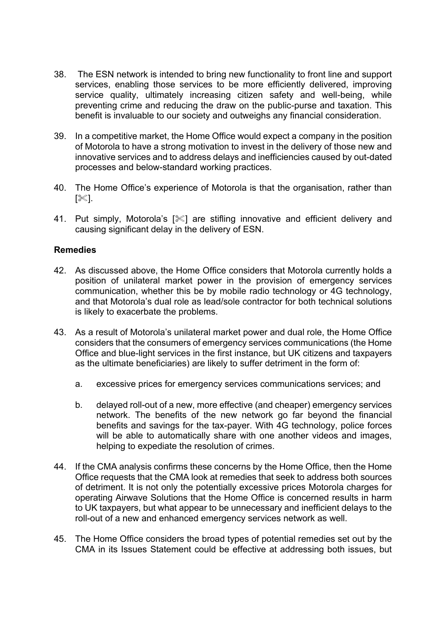- 38. The ESN network is intended to bring new functionality to front line and support services, enabling those services to be more efficiently delivered, improving service quality, ultimately increasing citizen safety and well-being, while preventing crime and reducing the draw on the public-purse and taxation. This benefit is invaluable to our society and outweighs any financial consideration.
- 39. In a competitive market, the Home Office would expect a company in the position of Motorola to have a strong motivation to invest in the delivery of those new and innovative services and to address delays and inefficiencies caused by out-dated processes and below-standard working practices.
- 40. The Home Office's experience of Motorola is that the organisation, rather than  $[\%].$
- 41. Put simply, Motorola's [ $\ll$ ] are stifling innovative and efficient delivery and causing significant delay in the delivery of ESN.

#### **Remedies**

- 42. As discussed above, the Home Office considers that Motorola currently holds a position of unilateral market power in the provision of emergency services communication, whether this be by mobile radio technology or 4G technology, and that Motorola's dual role as lead/sole contractor for both technical solutions is likely to exacerbate the problems.
- 43. As a result of Motorola's unilateral market power and dual role, the Home Office considers that the consumers of emergency services communications (the Home Office and blue-light services in the first instance, but UK citizens and taxpayers as the ultimate beneficiaries) are likely to suffer detriment in the form of:
	- a. excessive prices for emergency services communications services; and
	- b. delayed roll-out of a new, more effective (and cheaper) emergency services network. The benefits of the new network go far beyond the financial benefits and savings for the tax-payer. With 4G technology, police forces will be able to automatically share with one another videos and images, helping to expediate the resolution of crimes.
- 44. If the CMA analysis confirms these concerns by the Home Office, then the Home Office requests that the CMA look at remedies that seek to address both sources of detriment. It is not only the potentially excessive prices Motorola charges for operating Airwave Solutions that the Home Office is concerned results in harm to UK taxpayers, but what appear to be unnecessary and inefficient delays to the roll-out of a new and enhanced emergency services network as well.
- 45. The Home Office considers the broad types of potential remedies set out by the CMA in its Issues Statement could be effective at addressing both issues, but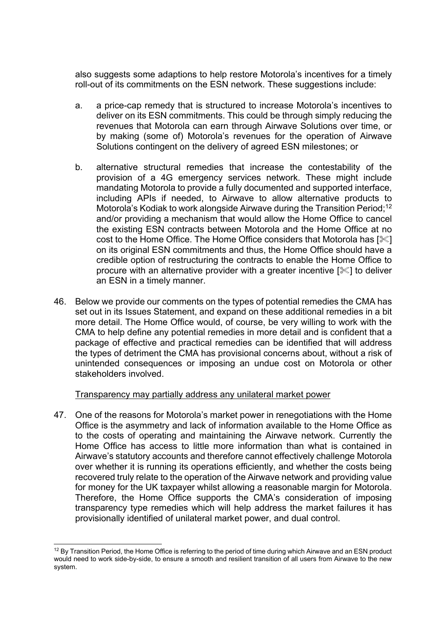also suggests some adaptions to help restore Motorola's incentives for a timely roll-out of its commitments on the ESN network. These suggestions include:

- a. a price-cap remedy that is structured to increase Motorola's incentives to deliver on its ESN commitments. This could be through simply reducing the revenues that Motorola can earn through Airwave Solutions over time, or by making (some of) Motorola's revenues for the operation of Airwave Solutions contingent on the delivery of agreed ESN milestones; or
- b. alternative structural remedies that increase the contestability of the provision of a 4G emergency services network. These might include mandating Motorola to provide a fully documented and supported interface, including APIs if needed, to Airwave to allow alternative products to Motorola's Kodiak to work alongside Airwave during the Transition Period;<sup>12</sup> and/or providing a mechanism that would allow the Home Office to cancel the existing ESN contracts between Motorola and the Home Office at no cost to the Home Office. The Home Office considers that Motorola has  $[\&]$ on its original ESN commitments and thus, the Home Office should have a credible option of restructuring the contracts to enable the Home Office to procure with an alternative provider with a greater incentive  $\mathbb{R}$  to deliver an ESN in a timely manner.
- 46. Below we provide our comments on the types of potential remedies the CMA has set out in its Issues Statement, and expand on these additional remedies in a bit more detail. The Home Office would, of course, be very willing to work with the CMA to help define any potential remedies in more detail and is confident that a package of effective and practical remedies can be identified that will address the types of detriment the CMA has provisional concerns about, without a risk of unintended consequences or imposing an undue cost on Motorola or other stakeholders involved.

#### Transparency may partially address any unilateral market power

47. One of the reasons for Motorola's market power in renegotiations with the Home Office is the asymmetry and lack of information available to the Home Office as to the costs of operating and maintaining the Airwave network. Currently the Home Office has access to little more information than what is contained in Airwave's statutory accounts and therefore cannot effectively challenge Motorola over whether it is running its operations efficiently, and whether the costs being recovered truly relate to the operation of the Airwave network and providing value for money for the UK taxpayer whilst allowing a reasonable margin for Motorola. Therefore, the Home Office supports the CMA's consideration of imposing transparency type remedies which will help address the market failures it has provisionally identified of unilateral market power, and dual control.

<sup>&</sup>lt;sup>12</sup> By Transition Period, the Home Office is referring to the period of time during which Airwave and an ESN product would need to work side-by-side, to ensure a smooth and resilient transition of all users from Airwave to the new system.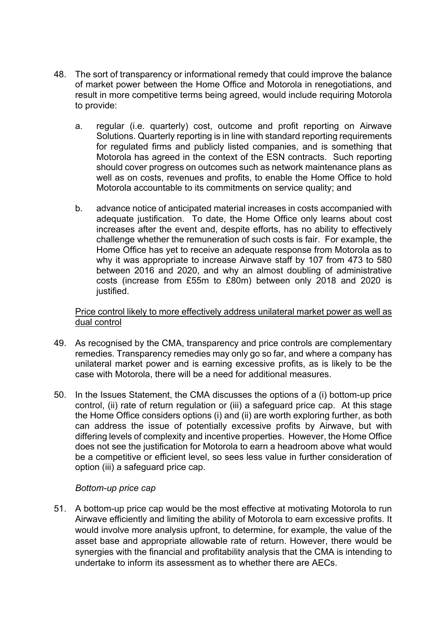- 48. The sort of transparency or informational remedy that could improve the balance of market power between the Home Office and Motorola in renegotiations, and result in more competitive terms being agreed, would include requiring Motorola to provide:
	- a. regular (i.e. quarterly) cost, outcome and profit reporting on Airwave Solutions. Quarterly reporting is in line with standard reporting requirements for regulated firms and publicly listed companies, and is something that Motorola has agreed in the context of the ESN contracts. Such reporting should cover progress on outcomes such as network maintenance plans as well as on costs, revenues and profits, to enable the Home Office to hold Motorola accountable to its commitments on service quality; and
	- b. advance notice of anticipated material increases in costs accompanied with adequate justification. To date, the Home Office only learns about cost increases after the event and, despite efforts, has no ability to effectively challenge whether the remuneration of such costs is fair. For example, the Home Office has yet to receive an adequate response from Motorola as to why it was appropriate to increase Airwave staff by 107 from 473 to 580 between 2016 and 2020, and why an almost doubling of administrative costs (increase from £55m to £80m) between only 2018 and 2020 is justified.

Price control likely to more effectively address unilateral market power as well as dual control

- 49. As recognised by the CMA, transparency and price controls are complementary remedies. Transparency remedies may only go so far, and where a company has unilateral market power and is earning excessive profits, as is likely to be the case with Motorola, there will be a need for additional measures.
- 50. In the Issues Statement, the CMA discusses the options of a (i) bottom-up price control, (ii) rate of return regulation or (iii) a safeguard price cap. At this stage the Home Office considers options (i) and (ii) are worth exploring further, as both can address the issue of potentially excessive profits by Airwave, but with differing levels of complexity and incentive properties. However, the Home Office does not see the justification for Motorola to earn a headroom above what would be a competitive or efficient level, so sees less value in further consideration of option (iii) a safeguard price cap.

## *Bottom-up price cap*

51. A bottom-up price cap would be the most effective at motivating Motorola to run Airwave efficiently and limiting the ability of Motorola to earn excessive profits. It would involve more analysis upfront, to determine, for example, the value of the asset base and appropriate allowable rate of return. However, there would be synergies with the financial and profitability analysis that the CMA is intending to undertake to inform its assessment as to whether there are AECs.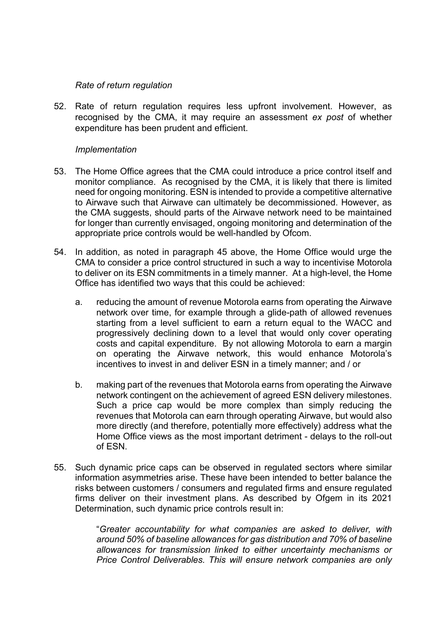## *Rate of return regulation*

52. Rate of return regulation requires less upfront involvement. However, as recognised by the CMA, it may require an assessment *ex post* of whether expenditure has been prudent and efficient.

#### *Implementation*

- 53. The Home Office agrees that the CMA could introduce a price control itself and monitor compliance. As recognised by the CMA, it is likely that there is limited need for ongoing monitoring. ESN is intended to provide a competitive alternative to Airwave such that Airwave can ultimately be decommissioned. However, as the CMA suggests, should parts of the Airwave network need to be maintained for longer than currently envisaged, ongoing monitoring and determination of the appropriate price controls would be well-handled by Ofcom.
- 54. In addition, as noted in paragraph 45 above, the Home Office would urge the CMA to consider a price control structured in such a way to incentivise Motorola to deliver on its ESN commitments in a timely manner. At a high-level, the Home Office has identified two ways that this could be achieved:
	- a. reducing the amount of revenue Motorola earns from operating the Airwave network over time, for example through a glide-path of allowed revenues starting from a level sufficient to earn a return equal to the WACC and progressively declining down to a level that would only cover operating costs and capital expenditure. By not allowing Motorola to earn a margin on operating the Airwave network, this would enhance Motorola's incentives to invest in and deliver ESN in a timely manner; and / or
	- b. making part of the revenues that Motorola earns from operating the Airwave network contingent on the achievement of agreed ESN delivery milestones. Such a price cap would be more complex than simply reducing the revenues that Motorola can earn through operating Airwave, but would also more directly (and therefore, potentially more effectively) address what the Home Office views as the most important detriment - delays to the roll-out of ESN.
- 55. Such dynamic price caps can be observed in regulated sectors where similar information asymmetries arise. These have been intended to better balance the risks between customers / consumers and regulated firms and ensure regulated firms deliver on their investment plans. As described by Ofgem in its 2021 Determination, such dynamic price controls result in:

"*Greater accountability for what companies are asked to deliver, with around 50% of baseline allowances for gas distribution and 70% of baseline allowances for transmission linked to either uncertainty mechanisms or Price Control Deliverables. This will ensure network companies are only*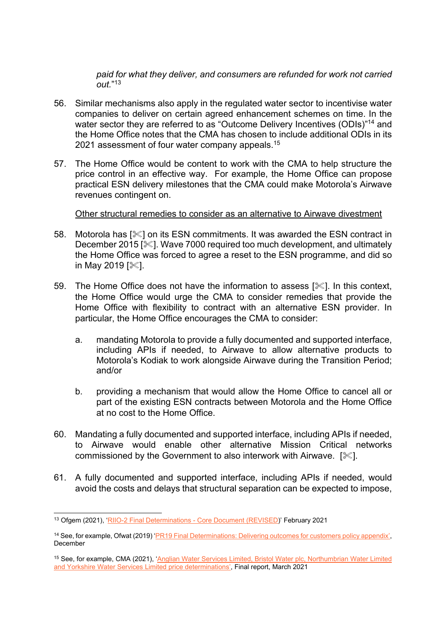*paid for what they deliver, and consumers are refunded for work not carried out.*" 13

- 56. Similar mechanisms also apply in the regulated water sector to incentivise water companies to deliver on certain agreed enhancement schemes on time. In the water sector they are referred to as "Outcome Delivery Incentives (ODIs)" <sup>14</sup> and the Home Office notes that the CMA has chosen to include additional ODIs in its 2021 assessment of four water company appeals.<sup>15</sup>
- 57. The Home Office would be content to work with the CMA to help structure the price control in an effective way. For example, the Home Office can propose practical ESN delivery milestones that the CMA could make Motorola's Airwave revenues contingent on.

#### Other structural remedies to consider as an alternative to Airwave divestment

- 58. Motorola has  $\ll 1$  on its ESN commitments. It was awarded the ESN contract in December 2015 [ $\ll$ ]. Wave 7000 required too much development, and ultimately the Home Office was forced to agree a reset to the ESN programme, and did so in May 2019  $[$  $|$ .
- 59. The Home Office does not have the information to assess [ $\ll$ ]. In this context, the Home Office would urge the CMA to consider remedies that provide the Home Office with flexibility to contract with an alternative ESN provider. In particular, the Home Office encourages the CMA to consider:
	- a. mandating Motorola to provide a fully documented and supported interface, including APIs if needed, to Airwave to allow alternative products to Motorola's Kodiak to work alongside Airwave during the Transition Period; and/or
	- b. providing a mechanism that would allow the Home Office to cancel all or part of the existing ESN contracts between Motorola and the Home Office at no cost to the Home Office.
- 60. Mandating a fully documented and supported interface, including APIs if needed, to Airwave would enable other alternative Mission Critical networks commissioned by the Government to also interwork with Airwave.  $[\mathcal{K}]$ .
- 61. A fully documented and supported interface, including APIs if needed, would avoid the costs and delays that structural separation can be expected to impose,

<sup>13</sup> Ofgem (2021), ['RIIO-2 Final Determinations -](https://www.ofgem.gov.uk/sites/default/files/docs/2021/02/final_determinations_-_core_document_revised.pdf) Core Document (REVISED)' February 2021

<sup>14</sup> See, for example, Ofwat (2019) ['PR19 Final Determinations: Delivering outcomes for customers policy appendix',](https://www.ofwat.gov.uk/wp-content/uploads/2019/12/PR19-final-determinations-Delivering-outcomes-for-customers-policy-appendix.pdf) December

<sup>&</sup>lt;sup>15</sup> See, for example, CMA (2021), 'Anglian Water Services Limited, Bristol Water plc, Northumbrian Water Limited [and Yorkshire Water Services Limited price determinations',](https://assets.publishing.service.gov.uk/media/60702370e90e076f5589bb8f/Final_Report_---_web_version_-_CMA.pdf) Final report, March 2021